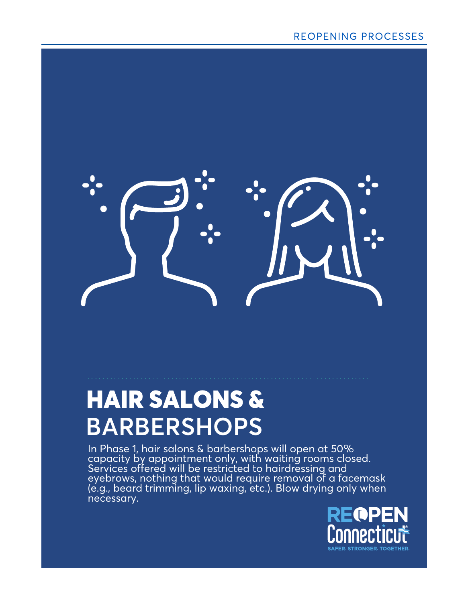

In Phase 1, hair salons & barbershops will open at 50% capacity by appointment only, with waiting rooms closed. Services offered will be restricted to hairdressing and eyebrows, nothing that would require removal of a facemask (e.g., beard trimming, lip waxing, etc.). Blow drying only when necessary.

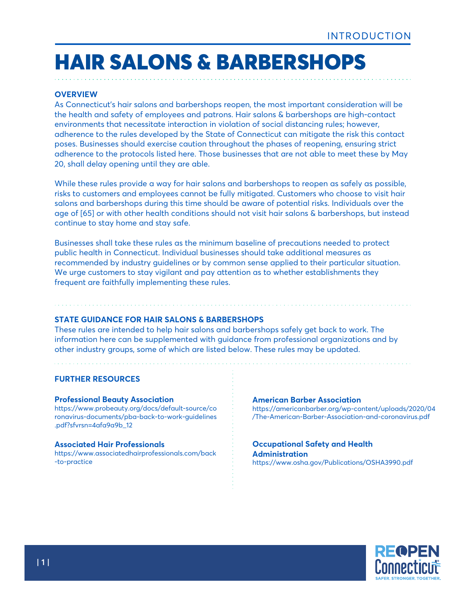#### **OVERVIEW**

As Connecticut's hair salons and barbershops reopen, the most important consideration will be the health and safety of employees and patrons. Hair salons & barbershops are high-contact environments that necessitate interaction in violation of social distancing rules; however, adherence to the rules developed by the State of Connecticut can mitigate the risk this contact poses. Businesses should exercise caution throughout the phases of reopening, ensuring strict adherence to the protocols listed here. Those businesses that are not able to meet these by May 20, shall delay opening until they are able.

While these rules provide a way for hair salons and barbershops to reopen as safely as possible, risks to customers and employees cannot be fully mitigated. Customers who choose to visit hair salons and barbershops during this time should be aware of potential risks. Individuals over the age of [65] or with other health conditions should not visit hair salons & barbershops, but instead continue to stay home and stay safe.

Businesses shall take these rules as the minimum baseline of precautions needed to protect public health in Connecticut. Individual businesses should take additional measures as recommended by industry guidelines or by common sense applied to their particular situation. We urge customers to stay vigilant and pay attention as to whether establishments they frequent are faithfully implementing these rules.

#### **STATE GUIDANCE FOR HAIR SALONS & BARBERSHOPS**

These rules are intended to help hair salons and barbershops safely get back to work. The information here can be supplemented with guidance from professional organizations and by other industry groups, some of which are listed below. These rules may be updated.

#### **FURTHER RESOURCES**

#### **Professional Beauty Association**

https://www.probeauty.org/docs/default-source/co ronavirus-documents/pba-back-to-work-guidelines .pdf?sfvrsn=4afa9a9b\_12

#### **Associated Hair Professionals**

https://www.associatedhairprofessionals.com/back -to-practice

#### **American Barber Association** https://americanbarber.org/wp-content/uploads/2020/04 /The-American-Barber-Association-and-coronavirus.pdf

#### **Occupational Safety and Health Administration** https://www.osha.gov/Publications/OSHA3990.pdf

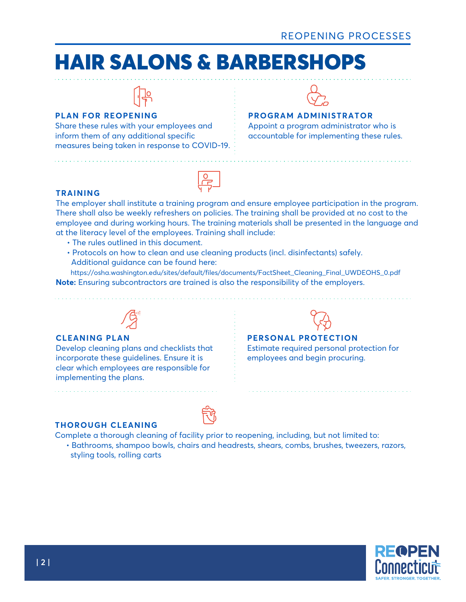

#### **PLAN FOR REOPENING**

Share these rules with your employees and inform them of any additional specific measures being taken in response to COVID-19.



#### **PROGRAM ADMINISTRATOR**

Appoint a program administrator who is accountable for implementing these rules.

#### **TRAINING**

The employer shall institute a training program and ensure employee participation in the program. There shall also be weekly refreshers on policies. The training shall be provided at no cost to the employee and during working hours. The training materials shall be presented in the language and at the literacy level of the employees. Training shall include:

- The rules outlined in this document.
- Protocols on how to clean and use cleaning products (incl. disinfectants) safely. Additional guidance can be found here:

 $\begin{array}{c}\n\overline{0} \\
\overline{1} \\
\overline{1} \\
\overline{1}\n\end{array}$ 

 https://osha.washington.edu/sites/default/files/documents/FactSheet\_Cleaning\_Final\_UWDEOHS\_0.pdf **Note:** Ensuring subcontractors are trained is also the responsibility of the employers.



#### **CLEANING PLAN**

Develop cleaning plans and checklists that incorporate these guidelines. Ensure it is clear which employees are responsible for implementing the plans.

### **PERSONAL PROTECTION**

Estimate required personal protection for employees and begin procuring.

#### **THOROUGH CLEANING**



 • Bathrooms, shampoo bowls, chairs and headrests, shears, combs, brushes, tweezers, razors, styling tools, rolling carts

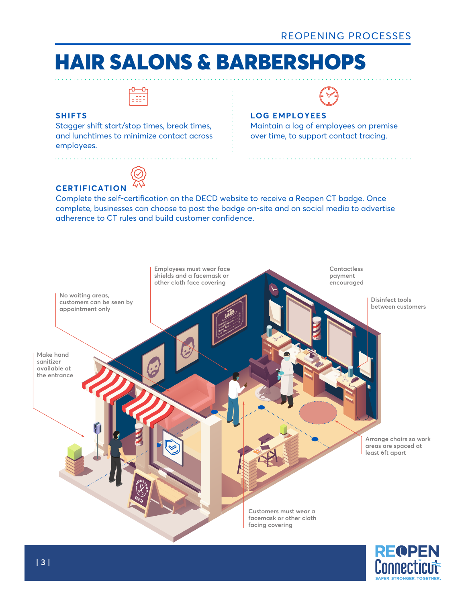

#### **SHIFTS**

Stagger shift start/stop times, break times, and lunchtimes to minimize contact across employees.



#### **LOG EMPLOYEES**

Maintain a log of employees on premise over time, to support contact tracing.



**CERTIFICATION** Complete the self-certification on the DECD website to receive a Reopen CT badge. Once complete, businesses can choose to post the badge on-site and on social media to advertise adherence to CT rules and build customer confidence.



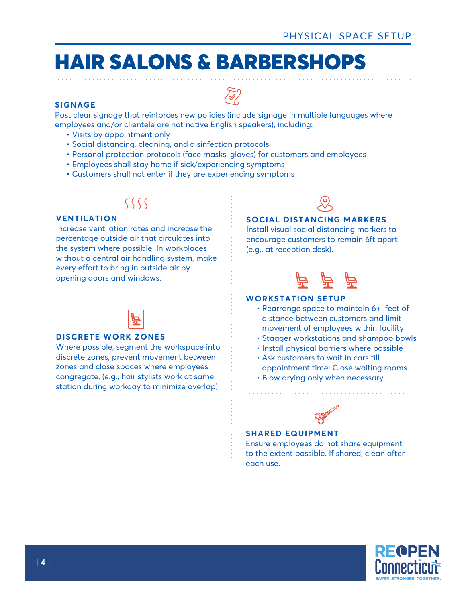#### **SIGNAGE**

Post clear signage that reinforces new policies (include signage in multiple languages where employees and/or clientele are not native English speakers), including:

 $\bigotimes$ 

- Visits by appointment only
- Social distancing, cleaning, and disinfection protocols
- Personal protection protocols (face masks, gloves) for customers and employees
- Employees shall stay home if sick/experiencing symptoms
- Customers shall not enter if they are experiencing symptoms

### $\langle \ \ \langle \ \ \ \rangle$

#### **VENTILATION**

Increase ventilation rates and increase the percentage outside air that circulates into the system where possible. In workplaces without a central air handling system, make every effort to bring in outside air by opening doors and windows.



#### **DISCRETE WORK ZONES**

Where possible, segment the workspace into discrete zones, prevent movement between zones and close spaces where employees congregate, (e.g., hair stylists work at same station during workday to minimize overlap).



#### **SOCIAL DISTANCING MARKERS**

Install visual social distancing markers to encourage customers to remain 6ft apart (e.g., at reception desk).



#### **WORKSTATION SETUP**

- Rearrange space to maintain 6+ feet of distance between customers and limit movement of employees within facility
- Stagger workstations and shampoo bowls
- Install physical barriers where possible
- Ask customers to wait in cars till appointment time; Close waiting rooms
- Blow drying only when necessary



#### **SHARED EQUIPMENT**

Ensure employees do not share equipment to the extent possible. If shared, clean after each use.

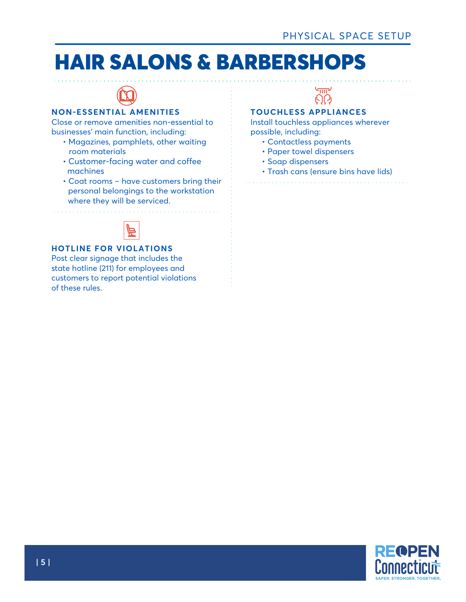

#### **NON-ESSENTIAL AMENITIES**

Close or remove amenities non-essential to businesses' main function, including:

- Magazines, pamphlets, other waiting room materials
- Customer-facing water and coffee machines
- Coat rooms have customers bring their personal belongings to the workstation where they will be serviced.



#### **HOTLINE FOR VIOLATIONS**

Post clear signage that includes the state hotline (211) for employees and customers to report potential violations of these rules.



### **TOUCHLESS APPLIANCES**

Install touchless appliances wherever possible, including:

- Contactless payments
- Paper towel dispensers
- Soap dispensers
- Trash cans (ensure bins have lids)

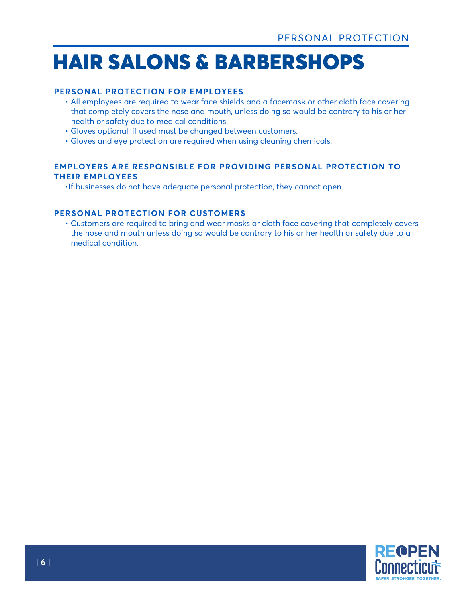#### **PERSONAL PROTECTION FOR EMPLOYEES**

- All employees are required to wear face shields and a facemask or other cloth face covering that completely covers the nose and mouth, unless doing so would be contrary to his or her health or safety due to medical conditions.
- Gloves optional; if used must be changed between customers.
- Gloves and eye protection are required when using cleaning chemicals.

#### **EMPLOYERS ARE RESPONSIBLE FOR PROVIDING PERSONAL PROTECTION TO THEIR EMPLOYEES**

•If businesses do not have adequate personal protection, they cannot open.

#### **PERSONAL PROTECTION FOR CUSTOMERS**

 • Customers are required to bring and wear masks or cloth face covering that completely covers the nose and mouth unless doing so would be contrary to his or her health or safety due to a medical condition.

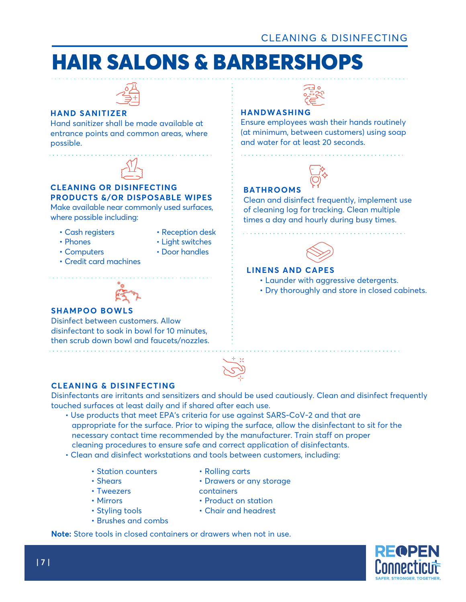

#### **HAND SANITIZER**

Hand sanitizer shall be made available at entrance points and common areas, where possible.



#### **CLEANING OR DISINFECTING PRODUCTS &/OR DISPOSABLE WIPES**

Make available near commonly used surfaces, where possible including:

• Cash registers

• Computers

• Phones

- Reception desk
- Light switches
	- Door handles
- Credit card machines
	-

#### **SHAMPOO BOWLS**

Disinfect between customers. Allow disinfectant to soak in bowl for 10 minutes, then scrub down bowl and faucets/nozzles.



#### **HANDWASHING**

Ensure employees wash their hands routinely (at minimum, between customers) using soap and water for at least 20 seconds.



### **BATHROOMS**

Clean and disinfect frequently, implement use of cleaning log for tracking. Clean multiple times a day and hourly during busy times.



#### **LINENS AND CAPES**

- Launder with aggressive detergents.
- Dry thoroughly and store in closed cabinets.



#### **CLEANING & DISINFECTING**

Disinfectants are irritants and sensitizers and should be used cautiously. Clean and disinfect frequently touched surfaces at least daily and if shared after each use.

- Use products that meet EPA's criteria for use against SARS-CoV-2 and that are appropriate for the surface. Prior to wiping the surface, allow the disinfectant to sit for the necessary contact time recommended by the manufacturer. Train staff on proper cleaning procedures to ensure safe and correct application of disinfectants.
- Clean and disinfect workstations and tools between customers, including:
	- Station counters
	- Shears
	- Tweezers

• Styling tools

• Mirrors

• Product on station

• Rolling carts

containers

• Chair and headrest

• Drawers or any storage

- Brushes and combs
- **Note:** Store tools in closed containers or drawers when not in use.